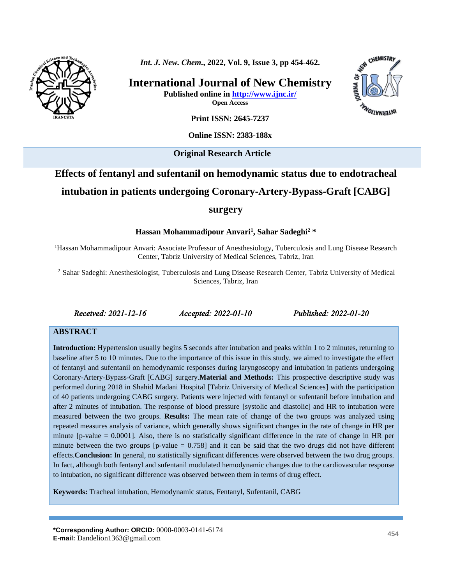*Int. J. New. Chem.***, 2022, Vol. 9, Issue 3, pp 454-462.**

**International Journal of New Chemistry Published online in<http://www.ijnc.ir/> Open Access**



**Print ISSN: 2645-7237**

**Online ISSN: 2383-188x** 

**Original Research Article** 

# **Effects of fentanyl and sufentanil on hemodynamic status due to endotracheal intubation in patients undergoing Coronary-Artery-Bypass-Graft [CABG]**

#### **surgery**

**Hassan Mohammadipour Anvari<sup>1</sup> , Sahar Sadeghi<sup>2</sup> \***

<sup>1</sup>Hassan Mohammadipour Anvari: Associate Professor of Anesthesiology, Tuberculosis and Lung Disease Research Center, Tabriz University of Medical Sciences, Tabriz, Iran

<sup>2</sup> Sahar Sadeghi: Anesthesiologist, Tuberculosis and Lung Disease Research Center, Tabriz University of Medical Sciences, Tabriz, Iran

*Received: 2021-12-16 Accepted: 2022-01-10 Published: 2022-01-20* 

#### **ABSTRACT**

**Introduction:** Hypertension usually begins 5 seconds after intubation and peaks within 1 to 2 minutes, returning to baseline after 5 to 10 minutes. Due to the importance of this issue in this study, we aimed to investigate the effect of fentanyl and sufentanil on hemodynamic responses during laryngoscopy and intubation in patients undergoing Coronary-Artery-Bypass-Graft [CABG] surgery.**Material and Methods:** This prospective descriptive study was performed during 2018 in Shahid Madani Hospital [Tabriz University of Medical Sciences] with the participation of 40 patients undergoing CABG surgery. Patients were injected with fentanyl or sufentanil before intubation and after 2 minutes of intubation. The response of blood pressure [systolic and diastolic] and HR to intubation were measured between the two groups. **Results:** The mean rate of change of the two groups was analyzed using repeated measures analysis of variance, which generally shows significant changes in the rate of change in HR per minute [p-value = 0.0001]. Also, there is no statistically significant difference in the rate of change in HR per minute between the two groups  $[p-value = 0.758]$  and it can be said that the two drugs did not have different effects.**Conclusion:** In general, no statistically significant differences were observed between the two drug groups. In fact, although both fentanyl and sufentanil modulated hemodynamic changes due to the cardiovascular response to intubation, no significant difference was observed between them in terms of drug effect.

**Keywords:** Tracheal intubation, Hemodynamic status, Fentanyl, Sufentanil, CABG

**\*Corresponding Author: ORCID:** 0000-0003-0141-6174 **E-mail:** Dandelion1363@gmail.com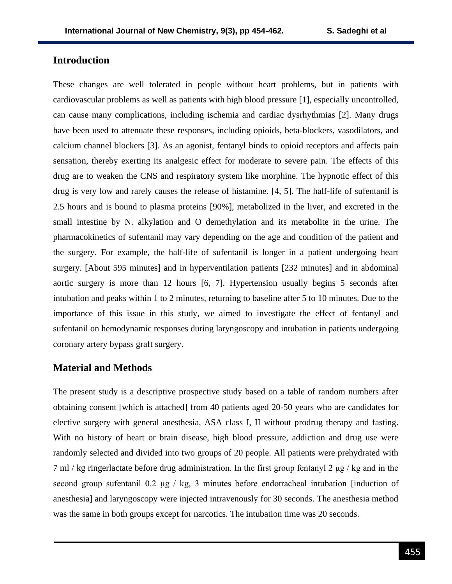# **Introduction**

These changes are well tolerated in people without heart problems, but in patients with cardiovascular problems as well as patients with high blood pressure [1], especially uncontrolled, can cause many complications, including ischemia and cardiac dysrhythmias [2]. Many drugs have been used to attenuate these responses, including opioids, beta-blockers, vasodilators, and calcium channel blockers [3]. As an agonist, fentanyl binds to opioid receptors and affects pain sensation, thereby exerting its analgesic effect for moderate to severe pain. The effects of this drug are to weaken the CNS and respiratory system like morphine. The hypnotic effect of this drug is very low and rarely causes the release of histamine. [4, 5]. The half-life of sufentanil is 2.5 hours and is bound to plasma proteins [90%], metabolized in the liver, and excreted in the small intestine by N. alkylation and O demethylation and its metabolite in the urine. The pharmacokinetics of sufentanil may vary depending on the age and condition of the patient and the surgery. For example, the half-life of sufentanil is longer in a patient undergoing heart surgery. [About 595 minutes] and in hyperventilation patients [232 minutes] and in abdominal aortic surgery is more than 12 hours [6, 7]. Hypertension usually begins 5 seconds after intubation and peaks within 1 to 2 minutes, returning to baseline after 5 to 10 minutes. Due to the importance of this issue in this study, we aimed to investigate the effect of fentanyl and sufentanil on hemodynamic responses during laryngoscopy and intubation in patients undergoing coronary artery bypass graft surgery.

### **Material and Methods**

The present study is a descriptive prospective study based on a table of random numbers after obtaining consent [which is attached] from 40 patients aged 20-50 years who are candidates for elective surgery with general anesthesia, ASA class I, II without prodrug therapy and fasting. With no history of heart or brain disease, high blood pressure, addiction and drug use were randomly selected and divided into two groups of 20 people. All patients were prehydrated with 7 ml / kg ringerlactate before drug administration. In the first group fentanyl 2 μg / kg and in the second group sufentanil 0.2 μg / kg, 3 minutes before endotracheal intubation [induction of anesthesia] and laryngoscopy were injected intravenously for 30 seconds. The anesthesia method was the same in both groups except for narcotics. The intubation time was 20 seconds.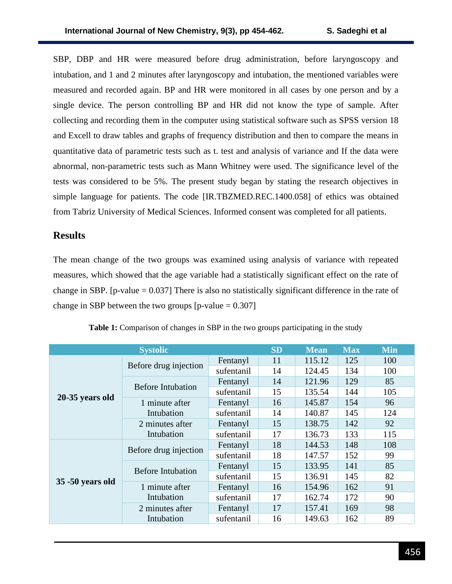SBP, DBP and HR were measured before drug administration, before laryngoscopy and intubation, and 1 and 2 minutes after laryngoscopy and intubation, the mentioned variables were measured and recorded again. BP and HR were monitored in all cases by one person and by a single device. The person controlling BP and HR did not know the type of sample. After collecting and recording them in the computer using statistical software such as SPSS version 18 and Excell to draw tables and graphs of frequency distribution and then to compare the means in quantitative data of parametric tests such as t. test and analysis of variance and If the data were abnormal, non-parametric tests such as Mann Whitney were used. The significance level of the tests was considered to be 5%. The present study began by stating the research objectives in simple language for patients. The code [\[IR.TBZMED.REC.1400.058\]](http://ethics.research.ac.ir/IR.TBZMED.REC.1400.058) of ethics was obtained from Tabriz University of Medical Sciences. Informed consent was completed for all patients.

### **Results**

The mean change of the two groups was examined using analysis of variance with repeated measures, which showed that the age variable had a statistically significant effect on the rate of change in SBP. [p-value  $= 0.037$ ] There is also no statistically significant difference in the rate of change in SBP between the two groups  $[p-value = 0.307]$ 

| <b>Systolic</b>  |                          |            | <b>SD</b> | <b>Mean</b> | <b>Max</b> | <b>Min</b> |
|------------------|--------------------------|------------|-----------|-------------|------------|------------|
| 20-35 years old  |                          | Fentanyl   | 11        | 115.12      | 125        | 100        |
|                  | Before drug injection    | sufentanil | 14        | 124.45      | 134        | 100        |
|                  | <b>Before Intubation</b> | Fentanyl   | 14        | 121.96      | 129        | 85         |
|                  |                          | sufentanil | 15        | 135.54      | 144        | 105        |
|                  | 1 minute after           | Fentanyl   | 16        | 145.87      | 154        | 96         |
|                  | Intubation               | sufentanil | 14        | 140.87      | 145        | 124        |
|                  | 2 minutes after          | Fentanyl   | 15        | 138.75      | 142        | 92         |
|                  | Intubation               | sufentanil | 17        | 136.73      | 133        | 115        |
| 35 -50 years old | Before drug injection    | Fentanyl   | 18        | 144.53      | 148        | 108        |
|                  |                          | sufentanil | 18        | 147.57      | 152        | 99         |
|                  | <b>Before Intubation</b> | Fentanyl   | 15        | 133.95      | 141        | 85         |
|                  |                          | sufentanil | 15        | 136.91      | 145        | 82         |
|                  | 1 minute after           | Fentanyl   | 16        | 154.96      | 162        | 91         |
|                  | Intubation               | sufentanil | 17        | 162.74      | 172        | 90         |
|                  | 2 minutes after          | Fentanyl   | 17        | 157.41      | 169        | 98         |
|                  | Intubation               | sufentanil | 16        | 149.63      | 162        | 89         |

**Table 1:** Comparison of changes in SBP in the two groups participating in the study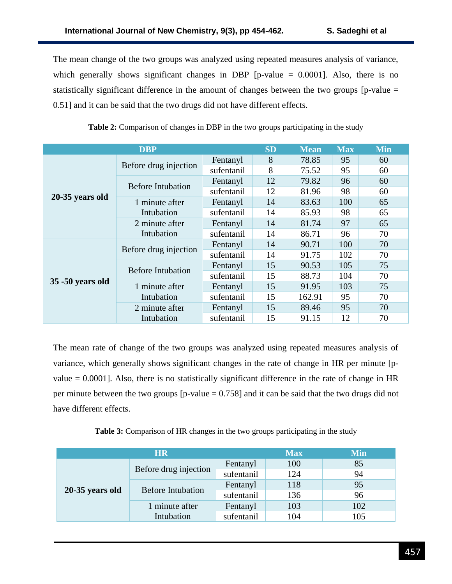The mean change of the two groups was analyzed using repeated measures analysis of variance, which generally shows significant changes in DBP  $[p-value = 0.0001]$ . Also, there is no statistically significant difference in the amount of changes between the two groups [p-value = 0.51] and it can be said that the two drugs did not have different effects.

|                  | <b>DBP</b>               |            | <b>SD</b> | <b>Mean</b> | <b>Max</b> | <b>Min</b> |
|------------------|--------------------------|------------|-----------|-------------|------------|------------|
| 20-35 years old  | Before drug injection    | Fentanyl   | 8         | 78.85       | 95         | 60         |
|                  |                          | sufentanil | 8         | 75.52       | 95         | 60         |
|                  | <b>Before Intubation</b> | Fentanyl   | 12        | 79.82       | 96         | 60         |
|                  |                          | sufentanil | 12        | 81.96       | 98         | 60         |
|                  | 1 minute after           | Fentanyl   | 14        | 83.63       | 100        | 65         |
|                  | Intubation               | sufentanil | 14        | 85.93       | 98         | 65         |
|                  | 2 minute after           | Fentanyl   | 14        | 81.74       | 97         | 65         |
|                  | Intubation               | sufentanil | 14        | 86.71       | 96         | 70         |
| 35 -50 years old |                          | Fentanyl   | 14        | 90.71       | 100        | 70         |
|                  | Before drug injection    | sufentanil | 14        | 91.75       | 102        | 70         |
|                  | <b>Before Intubation</b> | Fentanyl   | 15        | 90.53       | 105        | 75         |
|                  |                          | sufentanil | 15        | 88.73       | 104        | 70         |
|                  | 1 minute after           | Fentanyl   | 15        | 91.95       | 103        | 75         |
|                  | Intubation               | sufentanil | 15        | 162.91      | 95         | 70         |
|                  | 2 minute after           | Fentanyl   | 15        | 89.46       | 95         | 70         |
|                  | Intubation               | sufentanil | 15        | 91.15       | 12         | 70         |

**Table 2:** Comparison of changes in DBP in the two groups participating in the study

The mean rate of change of the two groups was analyzed using repeated measures analysis of variance, which generally shows significant changes in the rate of change in HR per minute [pvalue  $= 0.0001$ . Also, there is no statistically significant difference in the rate of change in HR per minute between the two groups  $[p-value = 0.758]$  and it can be said that the two drugs did not have different effects.

**Table 3:** Comparison of HR changes in the two groups participating in the study

| <b>HR</b>       |                          |            | <b>Max</b> | <b>Min</b> |
|-----------------|--------------------------|------------|------------|------------|
| 20-35 years old | Before drug injection    | Fentanyl   | 100        | 85         |
|                 |                          | sufentanil | 124        | 94         |
|                 | <b>Before Intubation</b> | Fentanyl   | 118        | 95         |
|                 |                          | sufentanil | 136        | 96         |
|                 | 1 minute after           | Fentanyl   | 103        | 102        |
|                 | Intubation               | sufentanil | 104        | 105        |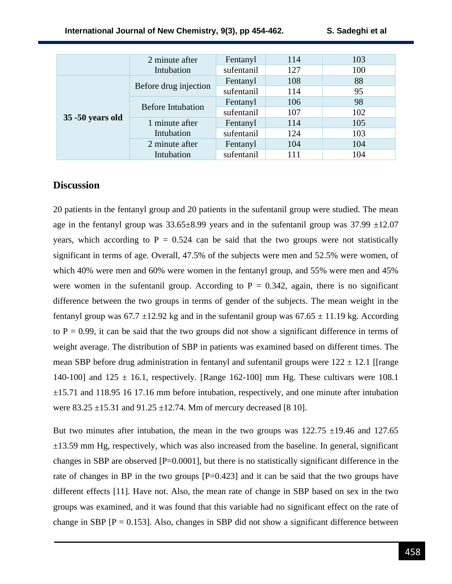|                  | 2 minute after           | Fentanyl   | 114 | 103 |
|------------------|--------------------------|------------|-----|-----|
|                  | Intubation               | sufentanil | 127 | 100 |
| 35 -50 years old | Before drug injection    | Fentanyl   | 108 | 88  |
|                  |                          | sufentanil | 114 | 95  |
|                  | <b>Before Intubation</b> | Fentanyl   | 106 | 98  |
|                  |                          | sufentanil | 107 | 102 |
|                  | 1 minute after           | Fentanyl   | 114 | 105 |
|                  | Intubation               | sufentanil | 124 | 103 |
|                  | 2 minute after           | Fentanyl   | 104 | 104 |
|                  | Intubation               | sufentanil | 111 | 104 |

## **Discussion**

20 patients in the fentanyl group and 20 patients in the sufentanil group were studied. The mean age in the fentanyl group was  $33.65\pm8.99$  years and in the sufentanil group was  $37.99 \pm 12.07$ years, which according to  $P = 0.524$  can be said that the two groups were not statistically significant in terms of age. Overall, 47.5% of the subjects were men and 52.5% were women, of which 40% were men and 60% were women in the fentanyl group, and 55% were men and 45% were women in the sufentanil group. According to  $P = 0.342$ , again, there is no significant difference between the two groups in terms of gender of the subjects. The mean weight in the fentanyl group was  $67.7 \pm 12.92$  kg and in the sufentanil group was  $67.65 \pm 11.19$  kg. According to  $P = 0.99$ , it can be said that the two groups did not show a significant difference in terms of weight average. The distribution of SBP in patients was examined based on different times. The mean SBP before drug administration in fentanyl and sufentanil groups were  $122 \pm 12.1$  [[range 140-100] and  $125 \pm 16.1$ , respectively. [Range 162-100] mm Hg. These cultivars were 108.1 ±15.71 and 118.95 16 17.16 mm before intubation, respectively, and one minute after intubation were  $83.25 \pm 15.31$  and  $91.25 \pm 12.74$ . Mm of mercury decreased [8 10].

But two minutes after intubation, the mean in the two groups was  $122.75 \pm 19.46$  and  $127.65$  $\pm$ 13.59 mm Hg, respectively, which was also increased from the baseline. In general, significant changes in SBP are observed  $[P=0.0001]$ , but there is no statistically significant difference in the rate of changes in BP in the two groups  $[P=0.423]$  and it can be said that the two groups have different effects [11]. Have not. Also, the mean rate of change in SBP based on sex in the two groups was examined, and it was found that this variable had no significant effect on the rate of change in SBP  $[P = 0.153]$ . Also, changes in SBP did not show a significant difference between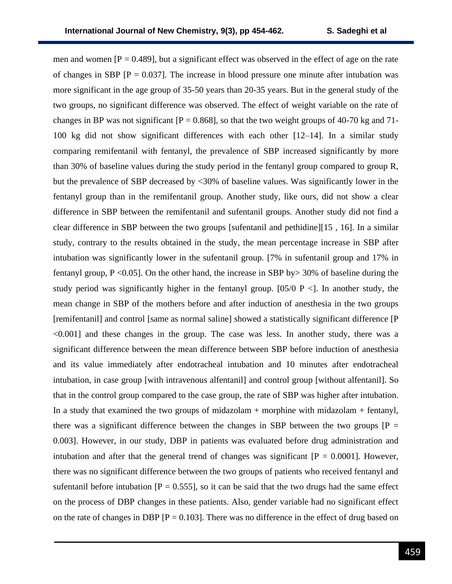men and women  $[P = 0.489]$ , but a significant effect was observed in the effect of age on the rate of changes in SBP  $[P = 0.037]$ . The increase in blood pressure one minute after intubation was more significant in the age group of 35-50 years than 20-35 years. But in the general study of the two groups, no significant difference was observed. The effect of weight variable on the rate of changes in BP was not significant  $[P = 0.868]$ , so that the two weight groups of 40-70 kg and 71-100 kg did not show significant differences with each other [12–14]. In a similar study comparing remifentanil with fentanyl, the prevalence of SBP increased significantly by more than 30% of baseline values during the study period in the fentanyl group compared to group R, but the prevalence of SBP decreased by <30% of baseline values. Was significantly lower in the fentanyl group than in the remifentanil group. Another study, like ours, did not show a clear difference in SBP between the remifentanil and sufentanil groups. Another study did not find a clear difference in SBP between the two groups [sufentanil and pethidine][15 , 16]. In a similar study, contrary to the results obtained in the study, the mean percentage increase in SBP after intubation was significantly lower in the sufentanil group. [7% in sufentanil group and 17% in fentanyl group,  $P \le 0.05$ ]. On the other hand, the increase in SBP by  $> 30\%$  of baseline during the study period was significantly higher in the fentanyl group. [05/0 P <]. In another study, the mean change in SBP of the mothers before and after induction of anesthesia in the two groups [remifentanil] and control [same as normal saline] showed a statistically significant difference [P  $\leq 0.001$ ] and these changes in the group. The case was less. In another study, there was a significant difference between the mean difference between SBP before induction of anesthesia and its value immediately after endotracheal intubation and 10 minutes after endotracheal intubation, in case group [with intravenous alfentanil] and control group [without alfentanil]. So that in the control group compared to the case group, the rate of SBP was higher after intubation. In a study that examined the two groups of midazolam + morphine with midazolam + fentanyl, there was a significant difference between the changes in SBP between the two groups  $[P =$ 0.003]. However, in our study, DBP in patients was evaluated before drug administration and intubation and after that the general trend of changes was significant  $[P = 0.0001]$ . However, there was no significant difference between the two groups of patients who received fentanyl and sufentanil before intubation  $[P = 0.555]$ , so it can be said that the two drugs had the same effect on the process of DBP changes in these patients. Also, gender variable had no significant effect on the rate of changes in DBP  $[P = 0.103]$ . There was no difference in the effect of drug based on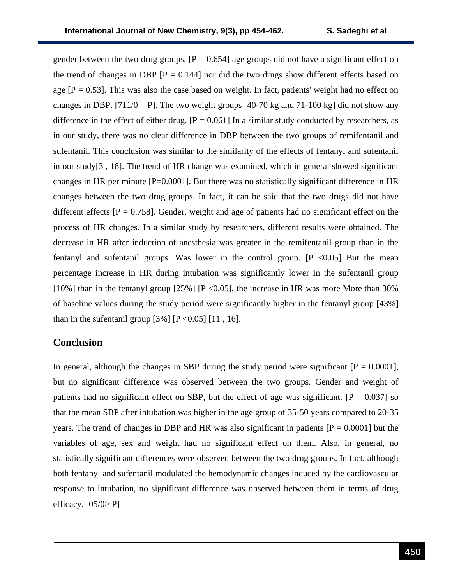gender between the two drug groups.  $[P = 0.654]$  age groups did not have a significant effect on the trend of changes in DBP  $[P = 0.144]$  nor did the two drugs show different effects based on age  $[P = 0.53]$ . This was also the case based on weight. In fact, patients' weight had no effect on changes in DBP. [711/0 = P]. The two weight groups [40-70 kg and 71-100 kg] did not show any difference in the effect of either drug.  $[P = 0.061]$  In a similar study conducted by researchers, as in our study, there was no clear difference in DBP between the two groups of remifentanil and sufentanil. This conclusion was similar to the similarity of the effects of fentanyl and sufentanil in our study[3 , 18]. The trend of HR change was examined, which in general showed significant changes in HR per minute  $[P=0.0001]$ . But there was no statistically significant difference in HR changes between the two drug groups. In fact, it can be said that the two drugs did not have different effects  $[P = 0.758]$ . Gender, weight and age of patients had no significant effect on the process of HR changes. In a similar study by researchers, different results were obtained. The decrease in HR after induction of anesthesia was greater in the remifentanil group than in the fentanyl and sufentanil groups. Was lower in the control group.  $[P \le 0.05]$  But the mean percentage increase in HR during intubation was significantly lower in the sufentanil group [10%] than in the fentanyl group [25%] [P < 0.05], the increase in HR was more More than 30% of baseline values during the study period were significantly higher in the fentanyl group [43%] than in the sufentanil group  $[3\%]$   $[P < 0.05]$   $[11, 16]$ .

#### **Conclusion**

In general, although the changes in SBP during the study period were significant  $[P = 0.0001]$ , but no significant difference was observed between the two groups. Gender and weight of patients had no significant effect on SBP, but the effect of age was significant.  $[P = 0.037]$  so that the mean SBP after intubation was higher in the age group of 35-50 years compared to 20-35 years. The trend of changes in DBP and HR was also significant in patients  $[P = 0.0001]$  but the variables of age, sex and weight had no significant effect on them. Also, in general, no statistically significant differences were observed between the two drug groups. In fact, although both fentanyl and sufentanil modulated the hemodynamic changes induced by the cardiovascular response to intubation, no significant difference was observed between them in terms of drug efficacy.  $[05/0> P]$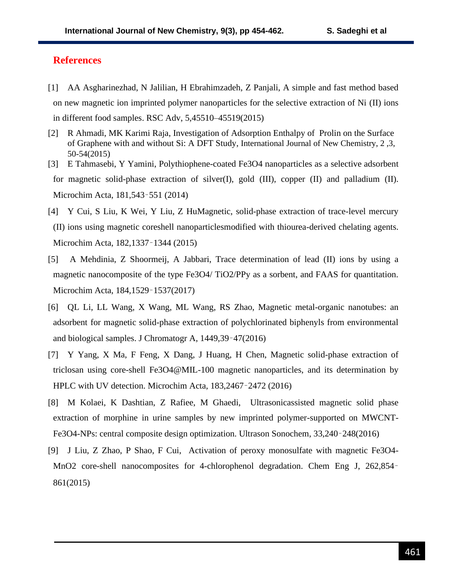### **References**

- [1] AA Asgharinezhad, N Jalilian, H Ebrahimzadeh, Z Panjali, A simple and fast method based on new magnetic ion imprinted polymer nanoparticles for the selective extraction of Ni (II) ions in different food samples. RSC Adv, 5,45510–45519(2015)
- [2] R Ahmadi, MK Karimi Raja, Investigation of Adsorption Enthalpy of Prolin on the Surface of Graphene with and without Si: A DFT Study, International Journal of New Chemistry, 2 ,3, 50-54(2015)
- [3] E Tahmasebi, Y Yamini, Polythiophene-coated Fe3O4 nanoparticles as a selective adsorbent for magnetic solid-phase extraction of silver(I), gold (III), copper (II) and palladium (II). Microchim Acta, 181,543–551 (2014)
- [4] Y Cui, S Liu, K Wei, Y Liu, Z HuMagnetic, solid-phase extraction of trace-level mercury (II) ions using magnetic coreshell nanoparticlesmodified with thiourea-derived chelating agents. Microchim Acta, 182,1337–1344 (2015)
- [5] A Mehdinia, Z Shoormeij, A Jabbari, Trace determination of lead (II) ions by using a magnetic nanocomposite of the type Fe3O4/ TiO2/PPy as a sorbent, and FAAS for quantitation. Microchim Acta, 184,1529–1537(2017)
- [6] QL Li, LL Wang, X Wang, ML Wang, RS Zhao, Magnetic metal-organic nanotubes: an adsorbent for magnetic solid-phase extraction of polychlorinated biphenyls from environmental and biological samples. J Chromatogr A, 1449,39–47(2016)
- [7] Y Yang, X Ma, F Feng, X Dang, J Huang, H Chen, Magnetic solid-phase extraction of triclosan using core-shell Fe3O4@MIL-100 magnetic nanoparticles, and its determination by HPLC with UV detection. Microchim Acta, 183,2467–2472 (2016)
- [8] M Kolaei, K Dashtian, Z Rafiee, M Ghaedi, Ultrasonicassisted magnetic solid phase extraction of morphine in urine samples by new imprinted polymer-supported on MWCNT-Fe3O4-NPs: central composite design optimization. Ultrason Sonochem, 33,240–248(2016)
- [9] J Liu, Z Zhao, P Shao, F Cui, Activation of peroxy monosulfate with magnetic Fe3O4- MnO2 core-shell nanocomposites for 4-chlorophenol degradation. Chem Eng J, 262,854– 861(2015)